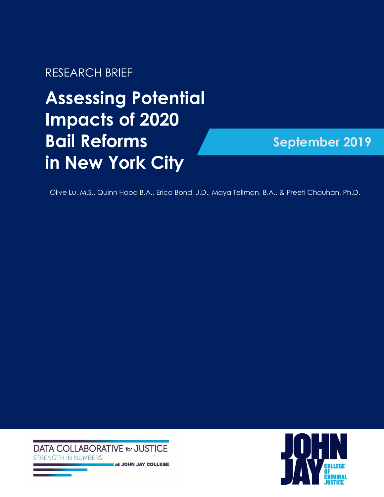RESEARCH BRIEF

# **Assessing Potential Impacts of 2020 Bail Reforms in New York City**

# **September 2019**

Olive Lu, M.S., Quinn Hood B.A., Erica Bond, J.D., Maya Tellman, B.A., & Preeti Chauhan, Ph.D.

**DATA COLLABORATIVE for JUSTICE ENGTH IN NUMBERS** at JOHN JAY COLLEGE

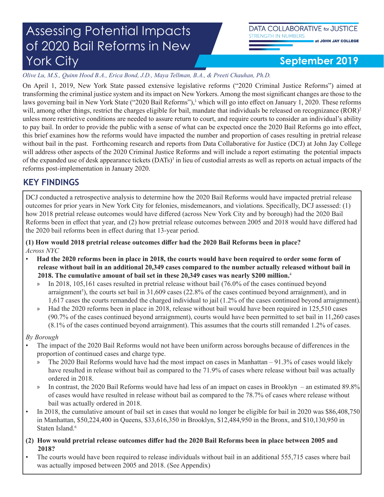#### **September 2019**

*Olive Lu, M.S., Quinn Hood B.A., Erica Bond, J.D., Maya Tellman, B.A., & Preeti Chauhan, Ph.D.*

On April 1, 2019, New York State passed extensive legislative reforms ("2020 Criminal Justice Reforms") aimed at transforming the criminal justice system and its impact on New Yorkers. Among the most significant changes are those to the laws governing bail in New York State ("2020 Bail Reforms"),<sup>1</sup> which will go into effect on January 1, 2020. These reforms will, among other things, restrict the charges eligible for bail, mandate that individuals be released on recognizance (ROR)<sup>2</sup> unless more restrictive conditions are needed to assure return to court, and require courts to consider an individual's ability to pay bail. In order to provide the public with a sense of what can be expected once the 2020 Bail Reforms go into effect, this brief examines how the reforms would have impacted the number and proportion of cases resulting in pretrial release without bail in the past. Forthcoming research and reports from Data Collaborative for Justice (DCJ) at John Jay College will address other aspects of the 2020 Criminal Justice Reforms and will include a report estimating the potential impacts of the expanded use of desk appearance tickets (DATs)<sup>3</sup> in lieu of custodial arrests as well as reports on actual impacts of the reforms post-implementation in January 2020.

#### **KEY FINDINGS**

DCJ conducted a retrospective analysis to determine how the 2020 Bail Reforms would have impacted pretrial release outcomes for prior years in New York City for felonies, misdemeanors, and violations. Specifically, DCJ assessed: (1) how 2018 pretrial release outcomes would have differed (across New York City and by borough) had the 2020 Bail Reforms been in effect that year, and (2) how pretrial release outcomes between 2005 and 2018 would have differed had the 2020 bail reforms been in effect during that 13-year period.

**(1) How would 2018 pretrial release outcomes differ had the 2020 Bail Reforms been in place?** *Across NYC*

- **Had the 2020 reforms been in place in 2018, the courts would have been required to order some form of release without bail in an additional 20,349 cases compared to the number actually released without bail in 2018. The cumulative amount of bail set in these 20,349 cases was nearly \$200 million.**<sup>4</sup>
	- » In 2018, 105,161 cases resulted in pretrial release without bail (76.0% of the cases continued beyond arraignment<sup>5</sup>), the courts set bail in 31,609 cases (22.8% of the cases continued beyond arraignment), and in 1,617 cases the courts remanded the charged individual to jail (1.2% of the cases continued beyond arraignment).
	- » Had the 2020 reforms been in place in 2018, release without bail would have been required in 125,510 cases (90.7% of the cases continued beyond arraignment), courts would have been permitted to set bail in 11,260 cases (8.1% of the cases continued beyond arraignment). This assumes that the courts still remanded 1.2% of cases.

#### *By Borough*

- The impact of the 2020 Bail Reforms would not have been uniform across boroughs because of differences in the proportion of continued cases and charge type.
	- » The 2020 Bail Reforms would have had the most impact on cases in Manhattan 91.3% of cases would likely have resulted in release without bail as compared to the 71.9% of cases where release without bail was actually ordered in 2018.
	- » In contrast, the 2020 Bail Reforms would have had less of an impact on cases in Brooklyn an estimated 89.8% of cases would have resulted in release without bail as compared to the 78.7% of cases where release without bail was actually ordered in 2018.
- In 2018, the cumulative amount of bail set in cases that would no longer be eligible for bail in 2020 was \$86,408,750 in Manhattan, \$50,224,400 in Queens, \$33,616,350 in Brooklyn, \$12,484,950 in the Bronx, and \$10,130,950 in Staten Island.<sup>6</sup>
- **(2) How would pretrial release outcomes differ had the 2020 Bail Reforms been in place between 2005 and 2018?**
- The courts would have been required to release individuals without bail in an additional 555,715 cases where bail was actually imposed between 2005 and 2018. (See Appendix)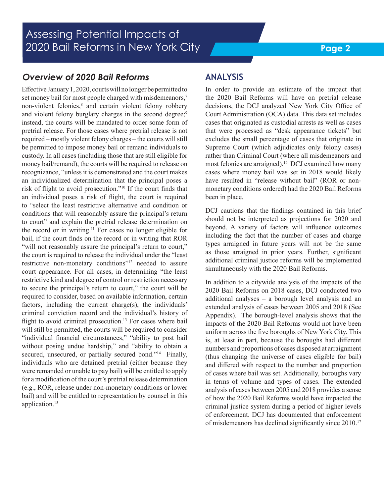#### *Overview of 2020 Bail Reforms*

Effective January 1, 2020, courts will no longer be permitted to set money bail for most people charged with misdemeanors,<sup>7</sup> non-violent felonies,<sup>8</sup> and certain violent felony robbery and violent felony burglary charges in the second degree;<sup>9</sup> instead, the courts will be mandated to order some form of pretrial release. For those cases where pretrial release is not required – mostly violent felony charges – the courts will still be permitted to impose money bail or remand individuals to custody. In all cases (including those that are still eligible for money bail/remand), the courts will be required to release on recognizance, "unless it is demonstrated and the court makes an individualized determination that the principal poses a risk of flight to avoid prosecution."<sup>10</sup> If the court finds that an individual poses a risk of flight, the court is required to "select the least restrictive alternative and condition or conditions that will reasonably assure the principal's return to court" and explain the pretrial release determination on the record or in writing.11 For cases no longer eligible for bail, if the court finds on the record or in writing that ROR "will not reasonably assure the principal's return to court," the court is required to release the individual under the "least restrictive non-monetary conditions"12 needed to assure court appearance. For all cases, in determining "the least restrictive kind and degree of control or restriction necessary to secure the principal's return to court," the court will be required to consider, based on available information, certain factors, including the current charge(s), the individuals' criminal conviction record and the individual's history of flight to avoid criminal prosecution.<sup>13</sup> For cases where bail will still be permitted, the courts will be required to consider "individual financial circumstances," "ability to post bail without posing undue hardship," and "ability to obtain a secured, unsecured, or partially secured bond."<sup>14</sup> Finally, individuals who are detained pretrial (either because they were remanded or unable to pay bail) will be entitled to apply for a modification of the court's pretrial release determination (e.g., ROR, release under non-monetary conditions or lower bail) and will be entitled to representation by counsel in this application.<sup>15</sup>

#### **ANALYSIS**

In order to provide an estimate of the impact that the 2020 Bail Reforms will have on pretrial release decisions, the DCJ analyzed New York City Office of Court Administration (OCA) data. This data set includes cases that originated as custodial arrests as well as cases that were processed as "desk appearance tickets" but excludes the small percentage of cases that originate in Supreme Court (which adjudicates only felony cases) rather than Criminal Court (where all misdemeanors and most felonies are arraigned).<sup>16</sup> DCJ examined how many cases where money bail was set in 2018 would likely have resulted in "release without bail" (ROR or nonmonetary conditions ordered) had the 2020 Bail Reforms been in place.

DCJ cautions that the findings contained in this brief should not be interpreted as projections for 2020 and beyond. A variety of factors will influence outcomes including the fact that the number of cases and charge types arraigned in future years will not be the same as those arraigned in prior years. Further, significant additional criminal justice reforms will be implemented simultaneously with the 2020 Bail Reforms.

In addition to a citywide analysis of the impacts of the 2020 Bail Reforms on 2018 cases, DCJ conducted two additional analyses – a borough level analysis and an extended analysis of cases between 2005 and 2018 (See Appendix). The borough-level analysis shows that the impacts of the 2020 Bail Reforms would not have been uniform across the five boroughs of New York City. This is, at least in part, because the boroughs had different numbers and proportions of cases disposed at arraignment (thus changing the universe of cases eligible for bail) and differed with respect to the number and proportion of cases where bail was set. Additionally, boroughs vary in terms of volume and types of cases. The extended analysis of cases between 2005 and 2018 provides a sense of how the 2020 Bail Reforms would have impacted the criminal justice system during a period of higher levels of enforcement. DCJ has documented that enforcement of misdemeanors has declined significantly since 2010.17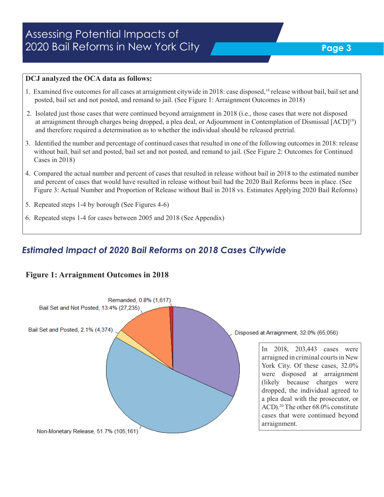#### **Page 3**

#### **DCJ analyzed the OCA data as follows:**

- 1. Examined five outcomes for all cases at arraignment citywide in 2018: case disposed,<sup>18</sup> release without bail, bail set and posted, bail set and not posted, and remand to jail. (See Figure 1: Arraignment Outcomes in 2018)
- 2. Isolated just those cases that were continued beyond arraignment in 2018 (i.e., those cases that were not disposed at arraignment through charges being dropped, a plea deal, or Adjournment in Contemplation of Dismissal [ACD]19) and therefore required a determination as to whether the individual should be released pretrial.
- 3. Identified the number and percentage of continued cases that resulted in one of the following outcomes in 2018: release without bail, bail set and posted, bail set and not posted, and remand to jail. (See Figure 2: Outcomes for Continued Cases in 2018)
- 4. Compared the actual number and percent of cases that resulted in release without bail in 2018 to the estimated number and percent of cases that would have resulted in release without bail had the 2020 Bail Reforms been in place. (See Figure 3: Actual Number and Proportion of Release without Bail in 2018 vs. Estimates Applying 2020 Bail Reforms)
- 5. Repeated steps 1-4 by borough (See Figures 4-6)
- 6. Repeated steps 1-4 for cases between 2005 and 2018 (See Appendix)

#### *Estimated Impact of 2020 Bail Reforms on 2018 Cases Citywide*

#### **Figure 1: Arraignment Outcomes in 2018**

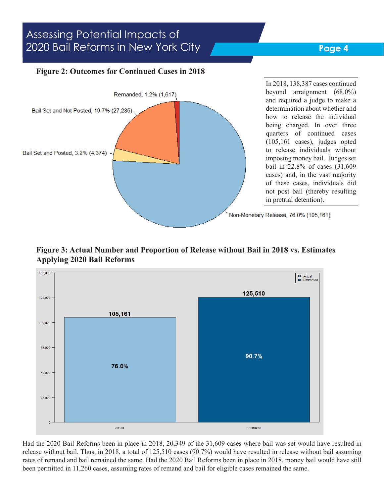#### **Page 4**

#### **Figure 2: Outcomes for Continued Cases in 2018**



**Figure 3: Actual Number and Proportion of Release without Bail in 2018 vs. Estimates Applying 2020 Bail Reforms**



Had the 2020 Bail Reforms been in place in 2018, 20,349 of the 31,609 cases where bail was set would have resulted in release without bail. Thus, in 2018, a total of 125,510 cases (90.7%) would have resulted in release without bail assuming rates of remand and bail remained the same. Had the 2020 Bail Reforms been in place in 2018, money bail would have still been permitted in 11,260 cases, assuming rates of remand and bail for eligible cases remained the same.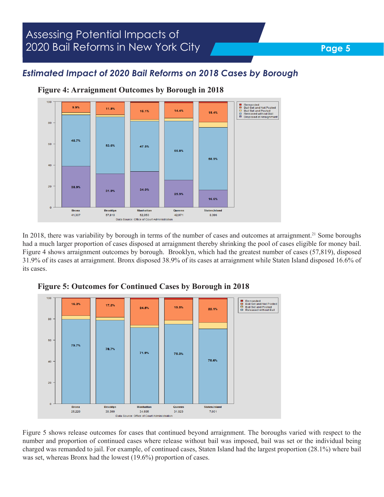#### **Page 5**

#### *Estimated Impact of 2020 Bail Reforms on 2018 Cases by Borough*



**Figure 4: Arraignment Outcomes by Borough in 2018**

In 2018, there was variability by borough in terms of the number of cases and outcomes at arraignment.<sup>21</sup> Some boroughs had a much larger proportion of cases disposed at arraignment thereby shrinking the pool of cases eligible for money bail. Figure 4 shows arraignment outcomes by borough. Brooklyn, which had the greatest number of cases (57,819), disposed 31.9% of its cases at arraignment. Bronx disposed 38.9% of its cases at arraignment while Staten Island disposed 16.6% of its cases.



**Figure 5: Outcomes for Continued Cases by Borough in 2018**

Figure 5 shows release outcomes for cases that continued beyond arraignment. The boroughs varied with respect to the number and proportion of continued cases where release without bail was imposed, bail was set or the individual being charged was remanded to jail. For example, of continued cases, Staten Island had the largest proportion (28.1%) where bail was set, whereas Bronx had the lowest (19.6%) proportion of cases.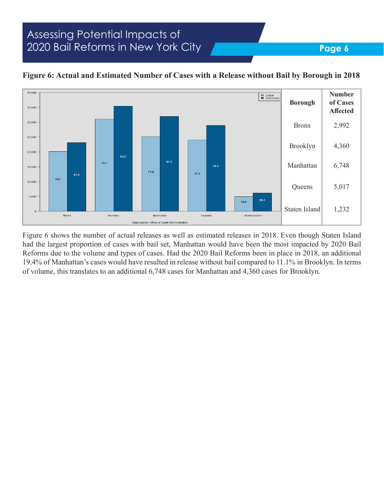

#### **Figure 6: Actual and Estimated Number of Cases with a Release without Bail by Borough in 2018**

Figure 6 shows the number of actual releases as well as estimated releases in 2018. Even though Staten Island had the largest proportion of cases with bail set, Manhattan would have been the most impacted by 2020 Bail Reforms due to the volume and types of cases. Had the 2020 Bail Reforms been in place in 2018, an additional 19.4% of Manhattan's cases would have resulted in release without bail compared to 11.1% in Brooklyn. In terms of volume, this translates to an additional 6,748 cases for Manhattan and 4,360 cases for Brooklyn.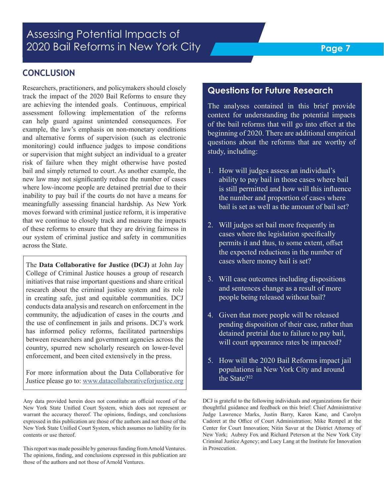#### **CONCLUSION**

Researchers, practitioners, and policymakers should closely track the impact of the 2020 Bail Reforms to ensure they are achieving the intended goals. Continuous, empirical assessment following implementation of the reforms can help guard against unintended consequences. For example, the law's emphasis on non-monetary conditions and alternative forms of supervision (such as electronic monitoring) could influence judges to impose conditions or supervision that might subject an individual to a greater risk of failure when they might otherwise have posted bail and simply returned to court. As another example, the new law may not significantly reduce the number of cases where low-income people are detained pretrial due to their inability to pay bail if the courts do not have a means for meaningfully assessing financial hardship. As New York moves forward with criminal justice reform, it is imperative that we continue to closely track and measure the impacts of these reforms to ensure that they are driving fairness in our system of criminal justice and safety in communities across the State.

The **Data Collaborative for Justice (DCJ)** at John Jay College of Criminal Justice houses a group of research initiatives that raise important questions and share critical research about the criminal justice system and its role in creating safe, just and equitable communities. DCJ conducts data analysis and research on enforcement in the community, the adjudication of cases in the courts ,and the use of confinement in jails and prisons. DCJ's work has informed policy reforms, facilitated partnerships between researchers and government agencies across the country, spurred new scholarly research on lower-level enforcement, and been cited extensively in the press.

For more information about the Data Collaborative for Justice please go to: www.datacollaborativeforjustice.org

Any data provided herein does not constitute an official record of the New York State Unified Court System, which does not represent or warrant the accuracy thereof. The opinions, findings, and conclusions expressed in this publication are those of the authors and not those of the New York State Unified Court System, which assumes no liability for its contents or use thereof.

This report was made possible by generous funding from Arnold Ventures. The opinions, finding, and conclusions expressed in this publication are those of the authors and not those of Arnold Ventures.

#### **Questions for Future Research**

The analyses contained in this brief provide context for understanding the potential impacts of the bail reforms that will go into effect at the beginning of 2020. There are additional empirical questions about the reforms that are worthy of study, including:

- 1. How will judges assess an individual's ability to pay bail in those cases where bail is still permitted and how will this influence the number and proportion of cases where bail is set as well as the amount of bail set?
- 2. Will judges set bail more frequently in cases where the legislation specifically permits it and thus, to some extent, offset the expected reductions in the number of cases where money bail is set?
- 3. Will case outcomes including dispositions and sentences change as a result of more people being released without bail?
- 4. Given that more people will be released pending disposition of their case, rather than detained pretrial due to failure to pay bail, will court appearance rates be impacted?
- 5. How will the 2020 Bail Reforms impact jail populations in New York City and around the State?<sup>22</sup>

DCJ is grateful to the following individuals and organizations for their thoughtful guidance and feedback on this brief: Chief Administrative Judge Lawrence Marks, Justin Barry, Karen Kane, and Carolyn Cadoret at the Office of Court Administration; Mike Rempel at the Center for Court Innovation; Nitin Savur at the District Attorney of New York; Aubrey Fox and Richard Peterson at the New York City Criminal Justice Agency; and Lucy Lang at the Institute for Innovation in Prosecution.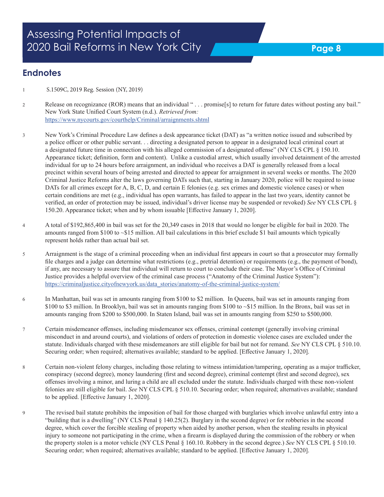#### **Endnotes**

- 1 S.1509C, 2019 Reg. Session (NY, 2019)
- 2 Release on recognizance (ROR) means that an individual " . . . promise[s] to return for future dates without posting any bail." New York State Unified Court System (n.d.). *Retrieved from:* https://www.nycourts.gov/courthelp/Criminal/arraignments.shtml
- 3 New York's Criminal Procedure Law defines a desk appearance ticket (DAT) as "a written notice issued and subscribed by a police officer or other public servant. . . directing a designated person to appear in a designated local criminal court at a designated future time in connection with his alleged commission of a designated offense" (NY CLS CPL § 150.10. Appearance ticket; definition, form and content). Unlike a custodial arrest, which usually involved detainment of the arrested individual for up to 24 hours before arraignment, an individual who receives a DAT is generally released from a local precinct within several hours of being arrested and directed to appear for arraignment in several weeks or months. The 2020 Criminal Justice Reforms alter the laws governing DATs such that, starting in January 2020, police will be required to issue DATs for all crimes except for A, B, C, D, and certain E felonies (e.g. sex crimes and domestic violence cases) or when certain conditions are met (e.g., individual has open warrants, has failed to appear in the last two years, identity cannot be verified, an order of protection may be issued, individual's driver license may be suspended or revoked) *See* NY CLS CPL § 150.20. Appearance ticket; when and by whom issuable [Effective January 1, 2020].
- 4 A total of \$192,865,400 in bail was set for the 20,349 cases in 2018 that would no longer be eligible for bail in 2020. The amounts ranged from \$100 to ~\$15 million. All bail calculations in this brief exclude \$1 bail amounts which typically represent holds rather than actual bail set.
- 5 Arraignment is the stage of a criminal proceeding when an individual first appears in court so that a prosecutor may formally file charges and a judge can determine what restrictions (e.g., pretrial detention) or requirements (e.g., the payment of bond), if any, are necessary to assure that individual will return to court to conclude their case. The Mayor's Office of Criminal Justice provides a helpful overview of the criminal case process ("Anatomy of the Criminal Justice System"): https://criminaljustice.cityofnewyork.us/data\_stories/anatomy-of-the-criminal-justice-system/
- 6 In Manhattan, bail was set in amounts ranging from \$100 to \$2 million. In Queens, bail was set in amounts ranging from \$100 to \$3 million. In Brooklyn, bail was set in amounts ranging from \$100 to ~\$15 million. In the Bronx, bail was set in amounts ranging from \$200 to \$500,000. In Staten Island, bail was set in amounts ranging from \$250 to \$500,000.
- 7 Certain misdemeanor offenses, including misdemeanor sex offenses, criminal contempt (generally involving criminal misconduct in and around courts), and violations of orders of protection in domestic violence cases are excluded under the statute. Individuals charged with these misdemeanors are still eligible for bail but not for remand. *See* NY CLS CPL § 510.10. Securing order; when required; alternatives available; standard to be applied. [Effective January 1, 2020].
- 8 Certain non-violent felony charges, including those relating to witness intimidation/tampering, operating as a major trafficker, conspiracy (second degree), money laundering (first and second degree), criminal contempt (first and second degree), sex offenses involving a minor, and luring a child are all excluded under the statute. Individuals charged with these non-violent felonies are still eligible for bail. *See* NY CLS CPL § 510.10. Securing order; when required; alternatives available; standard to be applied. [Effective January 1, 2020].
- 9 The revised bail statute prohibits the imposition of bail for those charged with burglaries which involve unlawful entry into a "building that is a dwelling" (NY CLS Penal § 140.25(2). Burglary in the second degree) or for robberies in the second degree, which cover the forcible stealing of property when aided by another person, when the stealing results in physical injury to someone not participating in the crime, when a firearm is displayed during the commission of the robbery or when the property stolen is a motor vehicle (NY CLS Penal § 160.10. Robbery in the second degree.) *See* NY CLS CPL § 510.10. Securing order; when required; alternatives available; standard to be applied. [Effective January 1, 2020].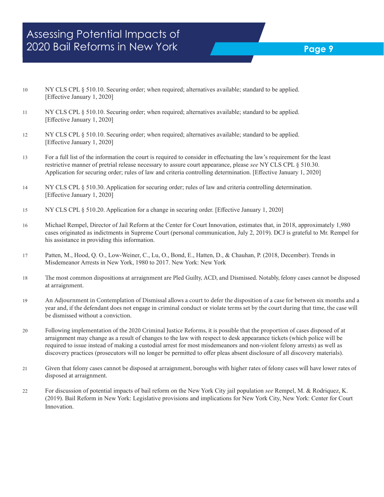- 10 NY CLS CPL § 510.10. Securing order; when required; alternatives available; standard to be applied. [Effective January 1, 2020]
- 11 NY CLS CPL § 510.10. Securing order; when required; alternatives available; standard to be applied. [Effective January 1, 2020]
- 12 NY CLS CPL § 510.10. Securing order; when required; alternatives available; standard to be applied. [Effective January 1, 2020]
- 13 For a full list of the information the court is required to consider in effectuating the law's requirement for the least restrictive manner of pretrial release necessary to assure court appearance, please *see* NY CLS CPL § 510.30. Application for securing order; rules of law and criteria controlling determination. [Effective January 1, 2020]
- 14 NY CLS CPL § 510.30. Application for securing order; rules of law and criteria controlling determination. [Effective January 1, 2020]
- 15 NY CLS CPL § 510.20. Application for a change in securing order. [Effective January 1, 2020]
- 16 Michael Rempel, Director of Jail Reform at the Center for Court Innovation, estimates that, in 2018, approximately 1,980 cases originated as indictments in Supreme Court (personal communication, July 2, 2019). DCJ is grateful to Mr. Rempel for his assistance in providing this information.
- 17 Patten, M., Hood, Q. O., Low-Weiner, C., Lu, O., Bond, E., Hatten, D., & Chauhan, P. (2018, December). Trends in Misdemeanor Arrests in New York, 1980 to 2017. New York: New York
- 18 The most common dispositions at arraignment are Pled Guilty, ACD, and Dismissed. Notably, felony cases cannot be disposed at arraignment.
- 19 An Adjournment in Contemplation of Dismissal allows a court to defer the disposition of a case for between six months and a year and, if the defendant does not engage in criminal conduct or violate terms set by the court during that time, the case will be dismissed without a conviction.
- 20 Following implementation of the 2020 Criminal Justice Reforms, it is possible that the proportion of cases disposed of at arraignment may change as a result of changes to the law with respect to desk appearance tickets (which police will be required to issue instead of making a custodial arrest for most misdemeanors and non-violent felony arrests) as well as discovery practices (prosecutors will no longer be permitted to offer pleas absent disclosure of all discovery materials).
- 21 Given that felony cases cannot be disposed at arraignment, boroughs with higher rates of felony cases will have lower rates of disposed at arraignment.
- 22 For discussion of potential impacts of bail reform on the New York City jail population *see* Rempel, M. & Rodriquez, K. (2019). Bail Reform in New York: Legislative provisions and implications for New York City, New York: Center for Court Innovation.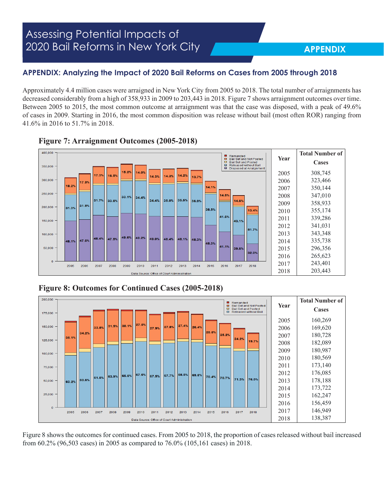#### **APPENDIX: Analyzing the Impact of 2020 Bail Reforms on Cases from 2005 through 2018**

Approximately 4.4 million cases were arraigned in New York City from 2005 to 2018. The total number of arraignments has decreased considerably from a high of 358,933 in 2009 to 203,443 in 2018. Figure 7 shows arraignment outcomes over time. Between 2005 to 2015, the most common outcome at arraignment was that the case was disposed, with a peak of 49.6% of cases in 2009. Starting in 2016, the most common disposition was release without bail (most often ROR) ranging from 41.6% in 2016 to 51.7% in 2018.





**Figure 8: Outcomes for Continued Cases (2005-2018)**



Figure 8 shows the outcomes for continued cases. From 2005 to 2018, the proportion of cases released without bail increased from 60.2% (96,503 cases) in 2005 as compared to 76.0% (105,161 cases) in 2018.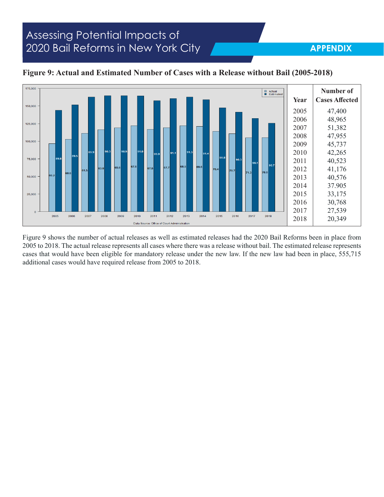#### **APPENDIX**



#### **Figure 9: Actual and Estimated Number of Cases with a Release without Bail (2005-2018)**

Figure 9 shows the number of actual releases as well as estimated releases had the 2020 Bail Reforms been in place from 2005 to 2018. The actual release represents all cases where there was a release without bail. The estimated release represents cases that would have been eligible for mandatory release under the new law. If the new law had been in place, 555,715 additional cases would have required release from 2005 to 2018.